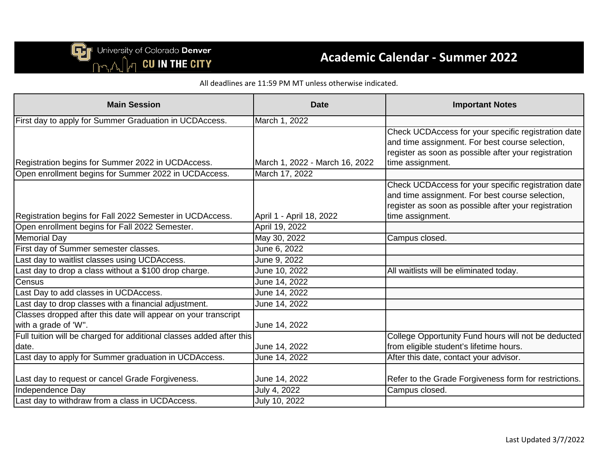University of Colorado Denver<br>
nm, A, In CU IN THE CITY

### **Academic Calendar - Summer 2022**

All deadlines are 11:59 PM MT unless otherwise indicated.

| <b>Main Session</b>                                                                    | <b>Date</b>                    | <b>Important Notes</b>                                                                                                                                                             |
|----------------------------------------------------------------------------------------|--------------------------------|------------------------------------------------------------------------------------------------------------------------------------------------------------------------------------|
| First day to apply for Summer Graduation in UCDAccess.                                 | March 1, 2022                  |                                                                                                                                                                                    |
| Registration begins for Summer 2022 in UCDAccess.                                      | March 1, 2022 - March 16, 2022 | Check UCDAccess for your specific registration date<br>and time assignment. For best course selection,<br>register as soon as possible after your registration<br>time assignment. |
| Open enrollment begins for Summer 2022 in UCDAccess.                                   | March 17, 2022                 |                                                                                                                                                                                    |
| Registration begins for Fall 2022 Semester in UCDAccess.                               | April 1 - April 18, 2022       | Check UCDAccess for your specific registration date<br>and time assignment. For best course selection,<br>register as soon as possible after your registration<br>time assignment. |
| Open enrollment begins for Fall 2022 Semester.                                         | April 19, 2022                 |                                                                                                                                                                                    |
| <b>Memorial Day</b>                                                                    | May 30, 2022                   | Campus closed.                                                                                                                                                                     |
| First day of Summer semester classes.                                                  | June 6, 2022                   |                                                                                                                                                                                    |
| Last day to waitlist classes using UCDAccess.                                          | June 9, 2022                   |                                                                                                                                                                                    |
| Last day to drop a class without a \$100 drop charge.                                  | June 10, 2022                  | All waitlists will be eliminated today.                                                                                                                                            |
| Census                                                                                 | June 14, 2022                  |                                                                                                                                                                                    |
| Last Day to add classes in UCDAccess.                                                  | June 14, 2022                  |                                                                                                                                                                                    |
| Last day to drop classes with a financial adjustment.                                  | June 14, 2022                  |                                                                                                                                                                                    |
| Classes dropped after this date will appear on your transcript<br>with a grade of 'W". | June 14, 2022                  |                                                                                                                                                                                    |
| Full tuition will be charged for additional classes added after this<br>date.          | June 14, 2022                  | College Opportunity Fund hours will not be deducted<br>from eligible student's lifetime hours.                                                                                     |
| Last day to apply for Summer graduation in UCDAccess.                                  | June 14, 2022                  | After this date, contact your advisor.                                                                                                                                             |
| Last day to request or cancel Grade Forgiveness.                                       | June 14, 2022                  | Refer to the Grade Forgiveness form for restrictions.                                                                                                                              |
| Independence Day                                                                       | July 4, 2022                   | Campus closed.                                                                                                                                                                     |
| Last day to withdraw from a class in UCDAccess.                                        | July 10, 2022                  |                                                                                                                                                                                    |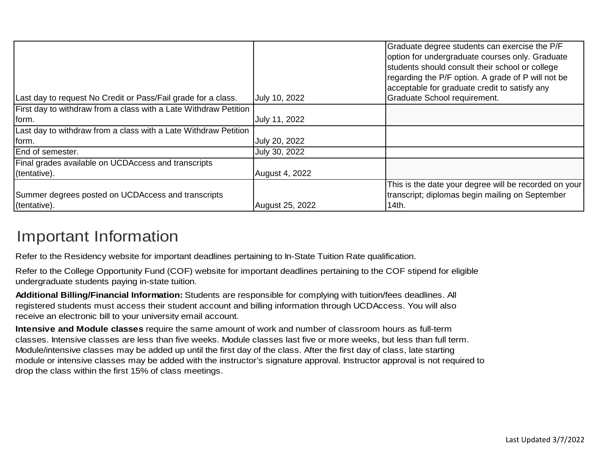| Last day to request No Credit or Pass/Fail grade for a class.      | July 10, 2022         | Graduate degree students can exercise the P/F<br>option for undergraduate courses only. Graduate<br>students should consult their school or college<br>regarding the P/F option. A grade of P will not be<br>acceptable for graduate credit to satisfy any<br>Graduate School requirement. |
|--------------------------------------------------------------------|-----------------------|--------------------------------------------------------------------------------------------------------------------------------------------------------------------------------------------------------------------------------------------------------------------------------------------|
| First day to withdraw from a class with a Late Withdraw Petition   |                       |                                                                                                                                                                                                                                                                                            |
| form.                                                              | July 11, 2022         |                                                                                                                                                                                                                                                                                            |
| Last day to withdraw from a class with a Late Withdraw Petition    |                       |                                                                                                                                                                                                                                                                                            |
| form.                                                              | July 20, 2022         |                                                                                                                                                                                                                                                                                            |
| End of semester.                                                   | July 30, 2022         |                                                                                                                                                                                                                                                                                            |
| Final grades available on UCDAccess and transcripts                |                       |                                                                                                                                                                                                                                                                                            |
| (tentative).                                                       | <b>August 4, 2022</b> |                                                                                                                                                                                                                                                                                            |
| Summer degrees posted on UCDAccess and transcripts<br>(tentative). | August 25, 2022       | This is the date your degree will be recorded on your<br>transcript; diplomas begin mailing on September<br>14th.                                                                                                                                                                          |

# Important Information

Refer to the Residency website for important deadlines pertaining to In-State Tuition Rate qualification.

Refer to the College Opportunity Fund (COF) website for important deadlines pertaining to the COF stipend for eligible undergraduate students paying in-state tuition.

**Additional Billing/Financial Information:** Students are responsible for complying with tuition/fees deadlines. All registered students must access their student account and billing information through UCDAccess. You will also receive an electronic bill to your university email account.

**Intensive and Module classes** require the same amount of work and number of classroom hours as full-term classes. Intensive classes are less than five weeks. Module classes last five or more weeks, but less than full term. Module/intensive classes may be added up until the first day of the class. After the first day of class, late starting module or intensive classes may be added with the instructor's signature approval. Instructor approval is not required to drop the class within the first 15% of class meetings.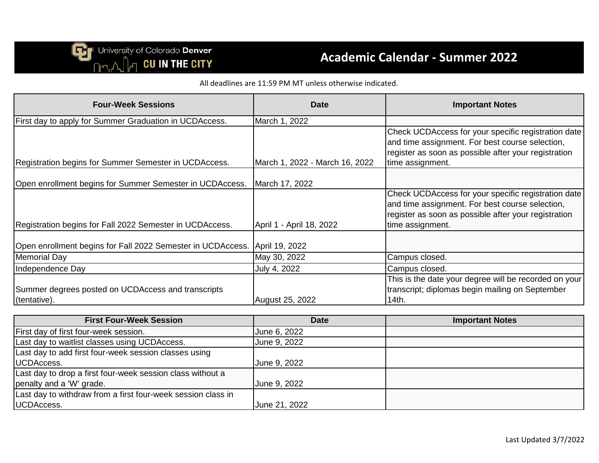## **Academic Calendar - Summer 2022**

All deadlines are 11:59 PM MT unless otherwise indicated.

| <b>Four-Week Sessions</b>                                                  | <b>Date</b>                    | <b>Important Notes</b>                                                                                                                                                             |
|----------------------------------------------------------------------------|--------------------------------|------------------------------------------------------------------------------------------------------------------------------------------------------------------------------------|
| First day to apply for Summer Graduation in UCDAccess.                     | March 1, 2022                  |                                                                                                                                                                                    |
| Registration begins for Summer Semester in UCDAccess.                      | March 1, 2022 - March 16, 2022 | Check UCDAccess for your specific registration date<br>and time assignment. For best course selection,<br>register as soon as possible after your registration<br>time assignment. |
| Open enrollment begins for Summer Semester in UCDAccess.                   | March 17, 2022                 |                                                                                                                                                                                    |
| Registration begins for Fall 2022 Semester in UCDAccess.                   | April 1 - April 18, 2022       | Check UCDAccess for your specific registration date<br>and time assignment. For best course selection,<br>register as soon as possible after your registration<br>time assignment. |
| Open enrollment begins for Fall 2022 Semester in UCDAccess. April 19, 2022 |                                |                                                                                                                                                                                    |
| <b>Memorial Day</b>                                                        | May 30, 2022                   | Campus closed.                                                                                                                                                                     |
| Independence Day                                                           | July 4, 2022                   | Campus closed.                                                                                                                                                                     |
| Summer degrees posted on UCDAccess and transcripts<br>(tentative).         | <b>August 25, 2022</b>         | This is the date your degree will be recorded on your<br>transcript; diplomas begin mailing on September<br>14th.                                                                  |

| <b>First Four-Week Session</b>                               | <b>Date</b>   | <b>Important Notes</b> |
|--------------------------------------------------------------|---------------|------------------------|
| First day of first four-week session.                        | June 6, 2022  |                        |
| Last day to waitlist classes using UCDAccess.                | June 9, 2022  |                        |
| Last day to add first four-week session classes using        |               |                        |
| UCDAccess.                                                   | June 9, 2022  |                        |
| Last day to drop a first four-week session class without a   |               |                        |
| penalty and a 'W' grade.                                     | June 9, 2022  |                        |
| Last day to withdraw from a first four-week session class in |               |                        |
| UCDAccess.                                                   | June 21, 2022 |                        |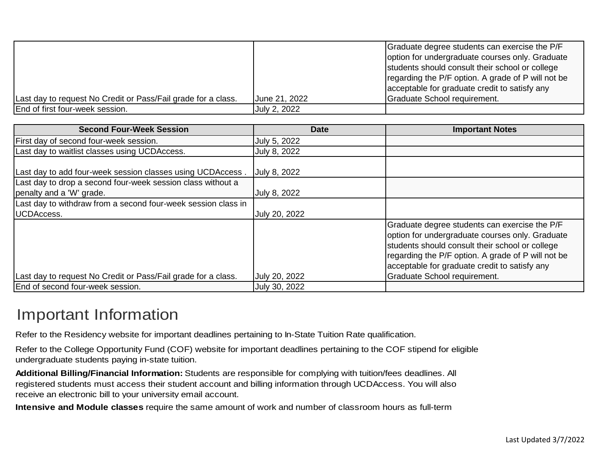| Last day to request No Credit or Pass/Fail grade for a class. | June 21, 2022 | Graduate degree students can exercise the P/F<br>option for undergraduate courses only. Graduate<br>students should consult their school or college<br>regarding the P/F option. A grade of P will not be<br>acceptable for graduate credit to satisfy any<br>Graduate School requirement. |
|---------------------------------------------------------------|---------------|--------------------------------------------------------------------------------------------------------------------------------------------------------------------------------------------------------------------------------------------------------------------------------------------|
| End of first four-week session.                               | July 2, 2022  |                                                                                                                                                                                                                                                                                            |

| <b>Second Four-Week Session</b>                               | <b>Date</b>   | <b>Important Notes</b>                                                                                                                                                                                                                                                                            |
|---------------------------------------------------------------|---------------|---------------------------------------------------------------------------------------------------------------------------------------------------------------------------------------------------------------------------------------------------------------------------------------------------|
| First day of second four-week session.                        | July 5, 2022  |                                                                                                                                                                                                                                                                                                   |
| Last day to waitlist classes using UCDAccess.                 | July 8, 2022  |                                                                                                                                                                                                                                                                                                   |
| Last day to add four-week session classes using UCDAccess.    | July 8, 2022  |                                                                                                                                                                                                                                                                                                   |
| Last day to drop a second four-week session class without a   |               |                                                                                                                                                                                                                                                                                                   |
| penalty and a 'W' grade.                                      | July 8, 2022  |                                                                                                                                                                                                                                                                                                   |
| Last day to withdraw from a second four-week session class in |               |                                                                                                                                                                                                                                                                                                   |
| UCDAccess.                                                    | July 20, 2022 |                                                                                                                                                                                                                                                                                                   |
| Last day to request No Credit or Pass/Fail grade for a class. | July 20, 2022 | Graduate degree students can exercise the P/F<br>option for undergraduate courses only. Graduate<br>students should consult their school or college<br>regarding the P/F option. A grade of P will not be<br>acceptable for graduate credit to satisfy any<br><b>Graduate School requirement.</b> |
| End of second four-week session.                              | July 30, 2022 |                                                                                                                                                                                                                                                                                                   |
|                                                               |               |                                                                                                                                                                                                                                                                                                   |

## Important Information

Refer to the Residency website for important deadlines pertaining to In-State Tuition Rate qualification.

Refer to the College Opportunity Fund (COF) website for important deadlines pertaining to the COF stipend for eligible undergraduate students paying in-state tuition.

**Additional Billing/Financial Information:** Students are responsible for complying with tuition/fees deadlines. All registered students must access their student account and billing information through UCDAccess. You will also receive an electronic bill to your university email account.

**Intensive and Module classes** require the same amount of work and number of classroom hours as full-term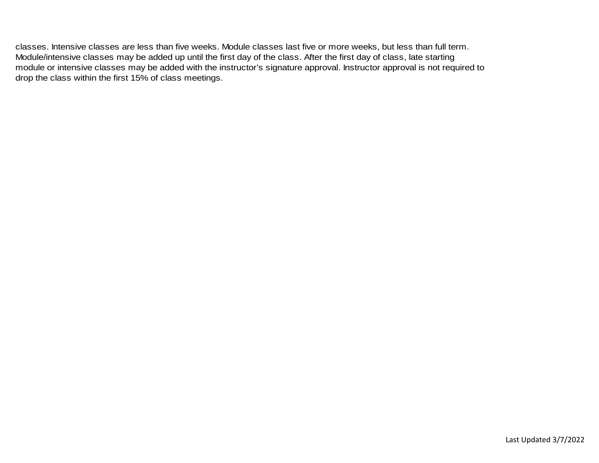classes. Intensive classes are less than five weeks. Module classes last five or more weeks, but less than full term. Module/intensive classes may be added up until the first day of the class. After the first day of class, late starting module or intensive classes may be added with the instructor's signature approval. Instructor approval is not required to drop the class within the first 15% of class meetings.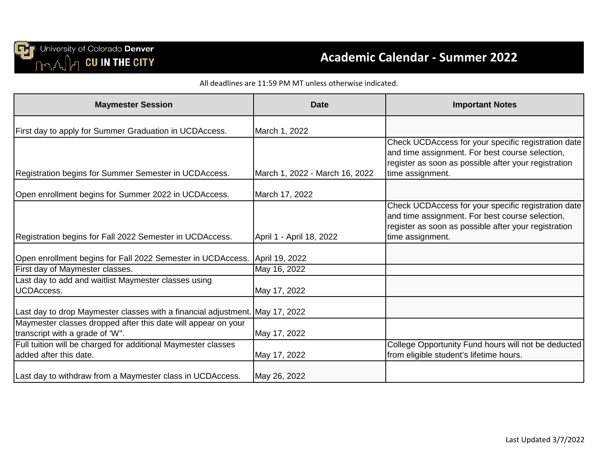

## **Academic Calendar - Summer 2022**

#### All deadlines are 11:59 PM MT unless otherwise indicated.

| <b>Maymester Session</b>                                                                         | <b>Date</b>                    | <b>Important Notes</b>                                                                                                                                                             |
|--------------------------------------------------------------------------------------------------|--------------------------------|------------------------------------------------------------------------------------------------------------------------------------------------------------------------------------|
| First day to apply for Summer Graduation in UCDAccess.                                           | March 1, 2022                  |                                                                                                                                                                                    |
| Registration begins for Summer Semester in UCDAccess.                                            | March 1, 2022 - March 16, 2022 | Check UCDAccess for your specific registration date<br>and time assignment. For best course selection,<br>register as soon as possible after your registration<br>time assignment. |
| Open enrollment begins for Summer 2022 in UCDAccess.                                             | March 17, 2022                 |                                                                                                                                                                                    |
| Registration begins for Fall 2022 Semester in UCDAccess.                                         | April 1 - April 18, 2022       | Check UCDAccess for your specific registration date<br>and time assignment. For best course selection,<br>register as soon as possible after your registration<br>time assignment. |
| Open enrollment begins for Fall 2022 Semester in UCDAccess. April 19, 2022                       |                                |                                                                                                                                                                                    |
| First day of Maymester classes.                                                                  | May 16, 2022                   |                                                                                                                                                                                    |
| Last day to add and waitlist Maymester classes using<br><b>UCDAccess.</b>                        | May 17, 2022                   |                                                                                                                                                                                    |
| Last day to drop Maymester classes with a financial adjustment. May 17, 2022                     |                                |                                                                                                                                                                                    |
| Maymester classes dropped after this date will appear on your<br>transcript with a grade of 'W". | May 17, 2022                   |                                                                                                                                                                                    |
| Full tuition will be charged for additional Maymester classes<br>added after this date.          | May 17, 2022                   | College Opportunity Fund hours will not be deducted<br>from eligible student's lifetime hours.                                                                                     |
| Last day to withdraw from a Maymester class in UCDAccess.                                        | May 26, 2022                   |                                                                                                                                                                                    |